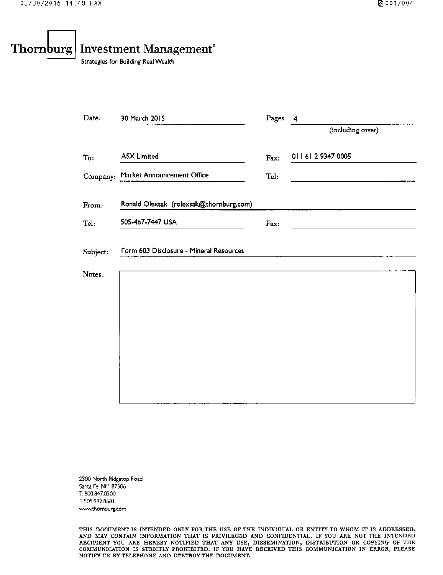# Thornburg **Investment Management**<sup>®</sup>

Strategies for Building Real Wealth

| Date:    | 30 March 2015                           | Pages: 4 |                    |  |  |
|----------|-----------------------------------------|----------|--------------------|--|--|
|          |                                         |          | (including cover)  |  |  |
| To:      | <b>ASX Limited</b>                      | Fax:     | 011 61 2 9347 0005 |  |  |
|          | Company: Market Announcement Office     | Tel:     |                    |  |  |
| From:    | Ronald Olexsak (rolexsak@thornburg.com) |          |                    |  |  |
| Tel:     | 505-467-7447 USA                        | Fax:     |                    |  |  |
| Subject: | Form 603 Disclosure - Mineral Resources |          |                    |  |  |
| Notes:   |                                         |          |                    |  |  |
|          |                                         |          |                    |  |  |
|          |                                         |          |                    |  |  |
|          |                                         |          |                    |  |  |
|          |                                         |          |                    |  |  |
|          |                                         |          |                    |  |  |
|          |                                         |          |                    |  |  |

2300 North Ridgetop Road Santa Fe, NM 87506 T: 800.847.0200 F: 505.992.8681 www.thomburg.com

THIS DOCUMENT IS INTENDED ONLY FOR THE USE OF THE INDIVIDUAL OR ENTITY TO WHOM IT IS ADDRESSED, AND MAY CONTAIN INFORMATION THAT IS PRIVILEGED AND CONFIDENTIAL. IF YOU ARE NOT THE INTENDED RECIPIENT YOU ARE HEREBY NOTIFIED THAT ANY USE, DISSEMINATION, DISTRIBUTION OR COPYING OF THE COMMUNICATION IS STRICTLY PROHIBITE NOTIFY US BY TELEPHONE AND DESTROY THE DOCUMENT.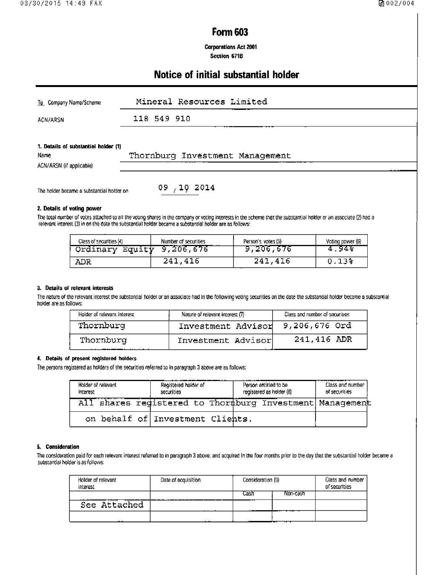## **Form 603**

**Corporations Act 2001** Section 671B

# Notice of initial substantial holder

| To Company Name/Scheme               | Mineral Resources Limited       |
|--------------------------------------|---------------------------------|
| ACN/ARSN                             | 118 549 910                     |
|                                      |                                 |
| 1. Details of substantial holder (1) |                                 |
| <b>Name</b>                          | Thornburg Investment Management |
| ACN/ARSN (if applicable)             |                                 |

The holder became a substantial holder on

 $09, 10, 2014$ 

### 2. Details of voting power

The total number of votes attached to all the voting shares in the company or voting interests in the scheme that the substantial holder or an associate (2) had a relevant interest (3) in on the date the substantial holder

| Class of securities (4) | Number of securities | Person's votes (5) | Voting power (6) |
|-------------------------|----------------------|--------------------|------------------|
| Ordinary Equity         | 9,206,676            | 9,206,676          | 4.94%            |
| ADR                     | 241,416              | 241,416            | 0.133            |

#### 3. Details of relevant interests

The nature of the relevant interest the substantial holder or an associate had in the following voting securities on the date the substantial holder became a substantial holder are as follows:

| Holder of relevant interest | Nature of relevant interest (7) | Class and number of securities |  |
|-----------------------------|---------------------------------|--------------------------------|--|
| Thornburg                   | Investment Advisor              | 9,206,676 Ord                  |  |
| Thornburg                   | Investment Advisor              | 241,416 ADR                    |  |

### 4. Details of present registered holders

The persons registered as holders of the securities referred to in paragraph 3 above are as follows:

| Holder of relevant<br>interest | Registered holder of<br>securities | Person entitled to be<br>registered as holder (8)        | Class and number<br>of securities |  |
|--------------------------------|------------------------------------|----------------------------------------------------------|-----------------------------------|--|
|                                |                                    | All shares redistered to Thormburg Investment Management |                                   |  |
|                                | on behalf of Investment Clients.   |                                                          |                                   |  |

#### 5. Consideration

The consideration paid for each relevant interest referred to in paragraph 3 above, and acquired in the four months prior to the day that the substantial holder became a substantial holder is as follows:

| Holder of relevant<br>interest | Date of acquisition | Consideration (9) |          | Class and number<br>of securities |
|--------------------------------|---------------------|-------------------|----------|-----------------------------------|
|                                |                     | Cash              | Non-cash |                                   |
| See Attached                   |                     |                   |          |                                   |
| .                              | .                   |                   |          |                                   |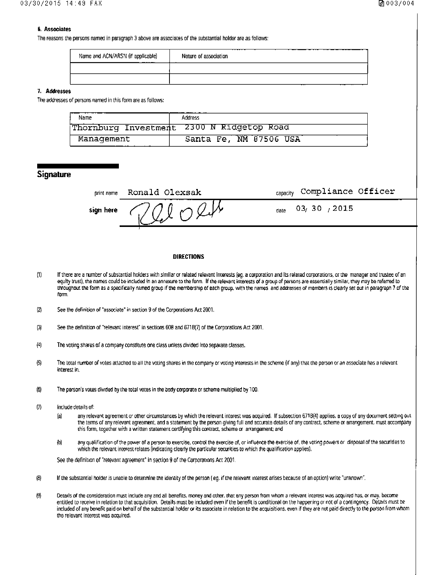## **6. Associates**

The reasons the persons named in paragraph 3 above are associates of the substantial holder are as follows:

| Name and ACN/ARSN (if applicable)<br>_____ | Nature of association |
|--------------------------------------------|-----------------------|
|                                            |                       |
|                                            |                       |

### 7. Addresses

The addresses of persons named in this form are as follows:

| Name       | <b>Address</b>                            |
|------------|-------------------------------------------|
|            | Thornburg Investment 2300 N Ridgetop Road |
| Management | Santa Fe, NM 87506 USA                    |

## **Signature**

| print name | Ronald Olexsak                                                        | <sub>capacity</sub> Compliance Officer |
|------------|-----------------------------------------------------------------------|----------------------------------------|
|            | sign here $\bigcirc$ / ( ) $\bigcirc$ $\bigcirc$ $\bigcirc$ $\bigvee$ | 03/30/2015<br>date                     |
|            |                                                                       |                                        |

#### **DIRECTIONS**

- $(1)$ If there are a number of substantial holders with similar or related relevant interests (eq. a corporation and its related corporations, or the manager and trustee of an equity trust), the names could be included in an annexure to the form. If the relevant interests of a group of persons are essentially similar, they may be referred to throughout the form as a specifically named group if the membership of each group, with the names and addresses of members is clearly set out in paragraph 7 of the form.
- $\bf{2}$ See the definition of "associate" in section 9 of the Corporations Act 2001.
- See the definition of "relevant interest" in sections 608 and 671B(7) of the Corporations Act 2001.  $\left( 3\right)$
- $(4)$ The voting shares of a company constitute one class unless divided into separate classes.
- The total number of votes attached to all the voting shares in the company or voting interests in the scheme (if any) that the person or an associate has a relevant  $\left($ 5) interest in.
- $(5)$ The person's votes divided by the total votes in the body corporate or scheme multiplied by 100.
- $\langle \rangle$ include details of:
	- any relevant agreement or other circumstances by which the relevant interest was acquired. If subsection 671B(4) applies, a copy of any document setting out  $(a)$ the terms of any relevant agreement, and a statement by the person giving full and accurate details of any contract, scheme or arrangement, must accompany this form, together with a written statement certifying this contract, scheme or arrangement; and
	- any qualification of the power of a person to exercise, control the exercise of, or influence the exercise of, the voting powers or disposal of the securities to (b) which the relevant interest relates (indicating clearly the particular securities to which the qualification applies).

See the definition of "relevant agreement" in section 9 of the Corporations Act 2001.

- $\langle$ B) If the substantial holder is unable to determine the identity of the person (eq. if the relevant interest arises because of an option) write "unknown".
- $\langle 9 \rangle$ Details of the consideration must include any and all benefits, money and other, that any person from whom a relevant interest was acquired has, or may, become entitled to receive in relation to that acquisition. Details must be included even if the benefit is conditional on the happening or not of a contingency. Details must be included of any benefit paid on behalf of the substantial holder or its associate in relation to the acquisitions, even if they are not paid directly to the person from whom the relevant interest was acquired.